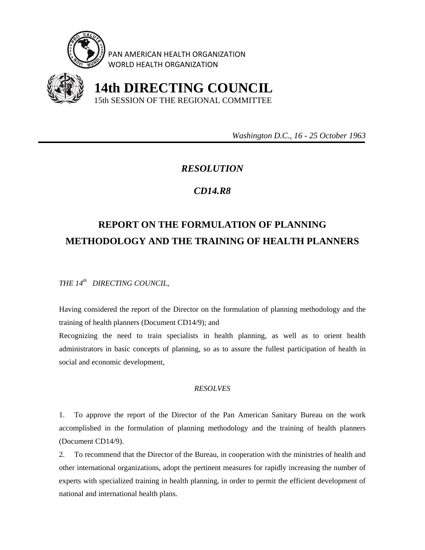

PAN AMERICAN HEALTH ORGANIZATION WORLD HEALTH ORGANIZATION



 **14th DIRECTING COUNCIL** 15th SESSION OF THE REGIONAL COMMITTEE

 *Washington D.C., 16 - 25 October 1963* 

## *RESOLUTION*

## *CD14.R8*

## **REPORT ON THE FORMULATION OF PLANNING METHODOLOGY AND THE TRAINING OF HEALTH PLANNERS**

*THE 14th DIRECTING COUNCIL,* 

Having considered the report of the Director on the formulation of planning methodology and the training of health planners (Document CD14/9); and

Recognizing the need to train specialists in health planning, as well as to orient health administrators in basic concepts of planning, so as to assure the fullest participation of health in social and economic development,

## *RESOLVES*

1. To approve the report of the Director of the Pan American Sanitary Bureau on the work accomplished in the formulation of planning methodology and the training of health planners (Document CD14/9).

2. To recommend that the Director of the Bureau, in cooperation with the ministries of health and other international organizations, adopt the pertinent measures for rapidly increasing the number of experts with specialized training in health planning, in order to permit the efficient development of national and international health plans.